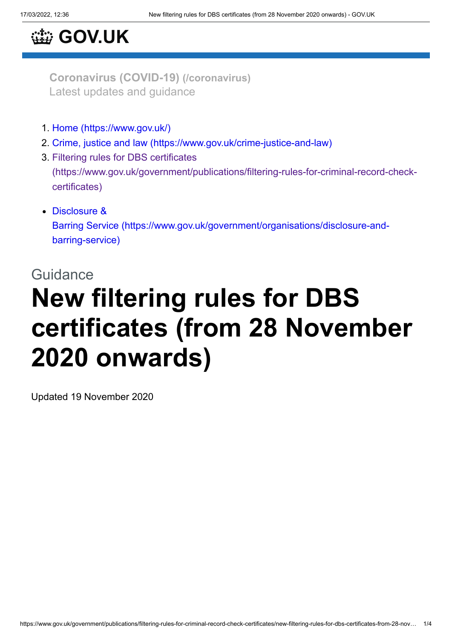## **[GOV.UK](https://www.gov.uk/)**

**[Coronavirus](https://www.gov.uk/coronavirus) (COVID-19) (/coronavirus)** Latest updates and guidance

- 1. [Home \(https://www.gov.uk/\)](https://www.gov.uk/)
- 2. [Crime, justice and law \(https://www.gov.uk/crime-justice-and-law\)](https://www.gov.uk/crime-justice-and-law)
- 3. Filtering rules for DBS certificates [\(https://www.gov.uk/government/publications/filtering-rules-for-criminal-record-check](https://www.gov.uk/government/publications/filtering-rules-for-criminal-record-check-certificates)certificates)
- Disclosure & Barring Service [\(https://www.gov.uk/government/organisations/disclosure-and](https://www.gov.uk/government/organisations/disclosure-and-barring-service)barring-service)

# **Guidance New filtering rules for DBS certificates (from 28 November 2020 onwards)**

Updated 19 November 2020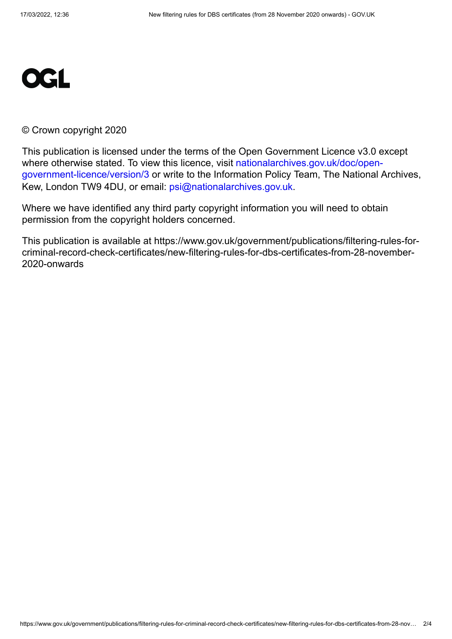

#### © Crown copyright 2020

This publication is licensed under the terms of the Open Government Licence v3.0 except [where otherwise stated. To view this licence, visit nationalarchives.gov.uk/doc/open](https://www.nationalarchives.gov.uk/doc/open-government-licence/version/3)government-licence/version/3 or write to the Information Policy Team, The National Archives, Kew, London TW9 4DU, or email: [psi@nationalarchives.gov.uk](mailto:psi@nationalarchives.gov.uk).

Where we have identified any third party copyright information you will need to obtain permission from the copyright holders concerned.

This publication is available at https://www.gov.uk/government/publications/filtering-rules-forcriminal-record-check-certificates/new-filtering-rules-for-dbs-certificates-from-28-november-2020-onwards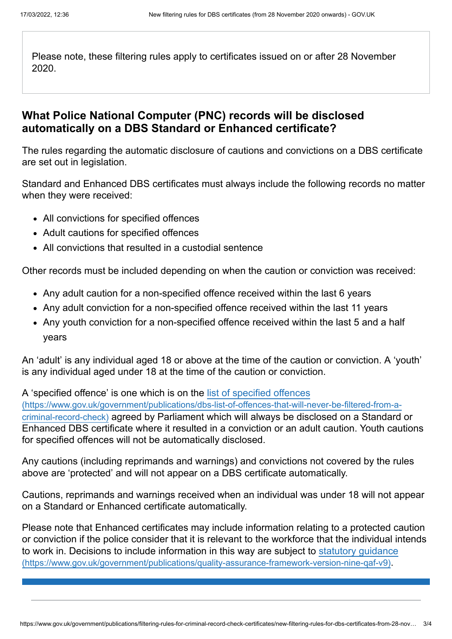Please note, these filtering rules apply to certificates issued on or after 28 November 2020.

### **What Police National Computer (PNC) records will be disclosed automatically on a DBS Standard or Enhanced certificate?**

The rules regarding the automatic disclosure of cautions and convictions on a DBS certificate are set out in legislation.

Standard and Enhanced DBS certificates must always include the following records no matter when they were received:

- All convictions for specified offences
- Adult cautions for specified offences
- All convictions that resulted in a custodial sentence

Other records must be included depending on when the caution or conviction was received:

- Any adult caution for a non-specified offence received within the last 6 years
- Any adult conviction for a non-specified offence received within the last 11 years
- Any youth conviction for a non-specified offence received within the last 5 and a half years

An 'adult' is any individual aged 18 or above at the time of the caution or conviction. A 'youth' is any individual aged under 18 at the time of the caution or conviction.

A 'specified offence' is one which is on the list of specified offences [\(https://www.gov.uk/government/publications/dbs-list-of-offences-that-will-never-be-filtered-from-a](https://www.gov.uk/government/publications/dbs-list-of-offences-that-will-never-be-filtered-from-a-criminal-record-check)criminal-record-check) agreed by Parliament which will always be disclosed on a Standard or Enhanced DBS certificate where it resulted in a conviction or an adult caution. Youth cautions for specified offences will not be automatically disclosed.

Any cautions (including reprimands and warnings) and convictions not covered by the rules above are 'protected' and will not appear on a DBS certificate automatically.

Cautions, reprimands and warnings received when an individual was under 18 will not appear on a Standard or Enhanced certificate automatically.

Please note that Enhanced certificates may include information relating to a protected caution or conviction if the police consider that it is relevant to the workforce that the individual intends [to work in. Decisions to include information in this way are subject to statutory guidance](https://www.gov.uk/government/publications/quality-assurance-framework-version-nine-qaf-v9) (https://www.gov.uk/government/publications/quality-assurance-framework-version-nine-qaf-v9).